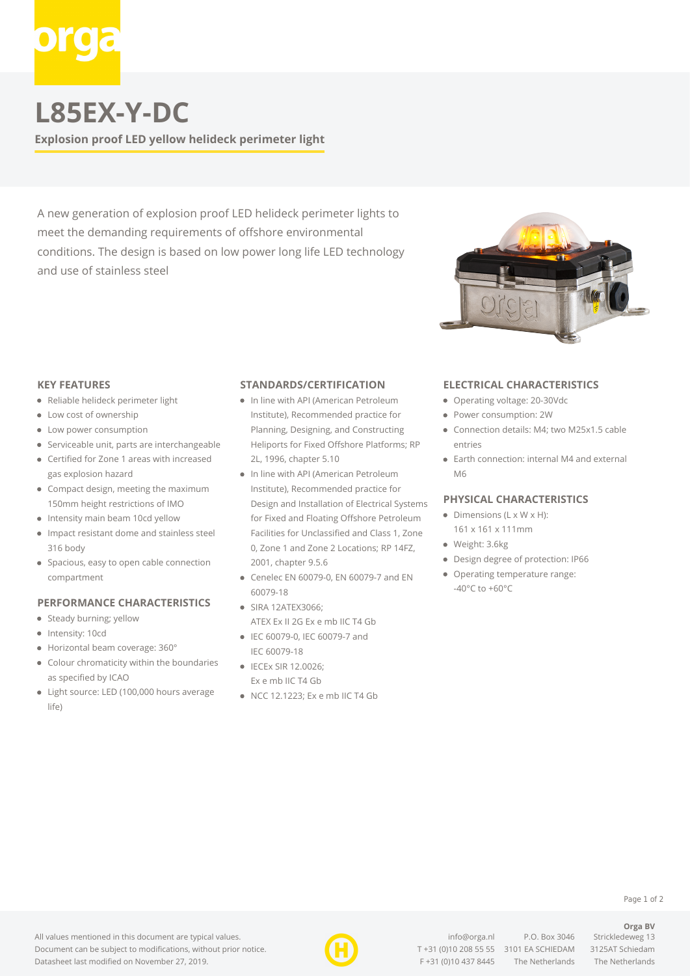

## **L85EX-Y-DC**

**Explosion proof LED yellow helideck perimeter light**

A new generation of explosion proof LED helideck perimeter lights to meet the demanding requirements of offshore environmental conditions. The design is based on low power long life LED technology and use of stainless steel



#### **KEY FEATURES**

- Reliable helideck perimeter light
- Low cost of ownership
- Low power consumption
- Serviceable unit, parts are interchangeable
- Certified for Zone 1 areas with increased gas explosion hazard
- Compact design, meeting the maximum 150mm height restrictions of IMO
- Intensity main beam 10cd yellow
- $\bullet$ Impact resistant dome and stainless steel 316 body
- Spacious, easy to open cable connection compartment

#### **PERFORMANCE CHARACTERISTICS**

- Steady burning; yellow
- Intensity: 10cd
- Horizontal beam coverage: 360°
- Colour chromaticity within the boundaries as specified by ICAO
- Light source: LED (100,000 hours average life)

#### **STANDARDS/CERTIFICATION**

- In line with API (American Petroleum Institute), Recommended practice for Planning, Designing, and Constructing Heliports for Fixed Offshore Platforms; RP 2L, 1996, chapter 5.10
- In line with API (American Petroleum Institute), Recommended practice for Design and Installation of Electrical Systems for Fixed and Floating Offshore Petroleum Facilities for Unclassified and Class 1, Zone 0, Zone 1 and Zone 2 Locations; RP 14FZ, 2001, chapter 9.5.6
- Cenelec EN 60079-0, EN 60079-7 and EN 60079-18
- SIRA 12ATEX3066; ATEX Ex II 2G Ex e mb IIC T4 Gb
- IEC 60079-0, IEC 60079-7 and IEC 60079-18
- IECEx SIR 12.0026: Ex e mb IIC T4 Gb
- NCC 12.1223; Ex e mb IIC T4 Gb

### **ELECTRICAL CHARACTERISTICS**

- Operating voltage: 20-30Vdc
- Power consumption: 2W
- Connection details: M4; two M25x1.5 cable entries
- Earth connection: internal M4 and external M6

#### **PHYSICAL CHARACTERISTICS**

- $\bullet$  Dimensions (L x W x H):
- 161 x 161 x 111mm
- Weight: 3.6kg
- Design degree of protection: IP66
- Operating temperature range: -40°C to +60°C



[info@orga.nl](mailto:info@orga.nl) P.O. Box 3046 Strickledeweg 13 T [+31 \(0\)10 208 55 55](#page--1-0) 3101 EA SCHIEDAM 3125AT Schiedam F +31 (0)10 437 8445 The Netherlands The Netherlands

**Orga BV**